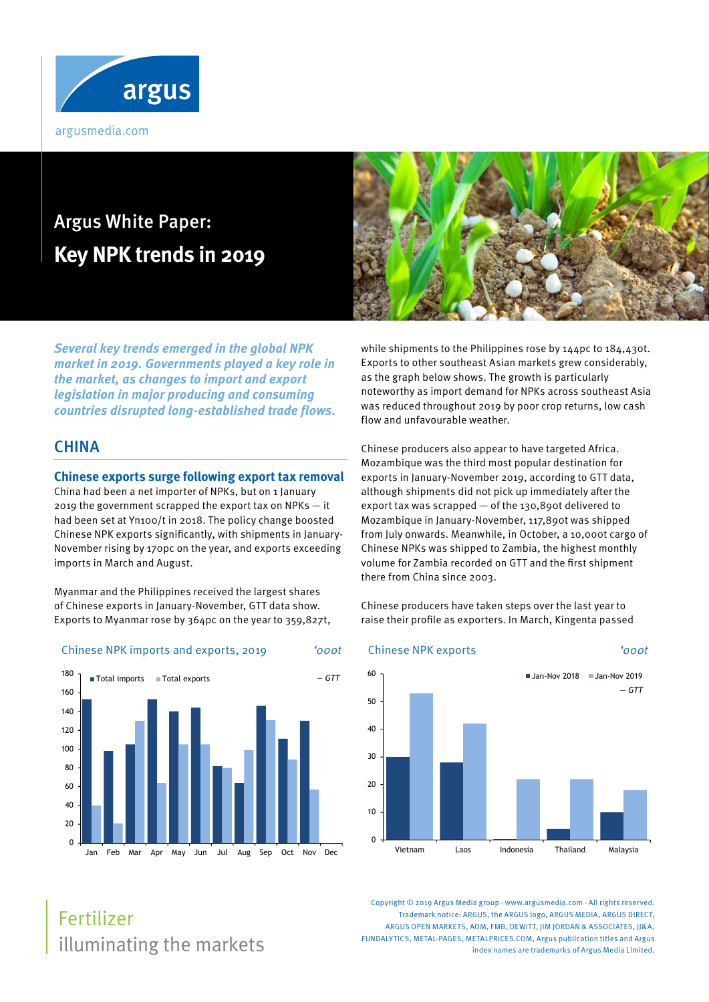

# Argus White Paper: **Key NPK trends in 2019**

**Several key trends emerged in the global NPK market in 2019. Governments played a key role in the market, as changes to import and export legislation in major producing and consuming countries disrupted long-established trade flows.**

## **CHINA**

#### **Chinese exports surge following export tax removal**

China had been a net importer of NPKs, but on 1 January 2019 the government scrapped the export tax on NPKs — it had been set at Yn100/t in 2018. The policy change boosted Chinese NPK exports significantly, with shipments in January-November rising by 170pc on the year, and exports exceeding imports in March and August.

Myanmar and the Philippines received the largest shares of Chinese exports in January-November, GTT data show. Exports to Myanmar rose by 364pc on the year to 359,827t,

#### Chinese NPK imports and exports, 2019 '000t





while shipments to the Philippines rose by 144pc to 184,430t. Exports to other southeast Asian markets grew considerably, as the graph below shows. The growth is particularly noteworthy as import demand for NPKs across southeast Asia was reduced throughout 2019 by poor crop returns, low cash flow and unfavourable weather.

Chinese producers also appear to have targeted Africa. Mozambique was the third most popular destination for exports in January-November 2019, according to GTT data, although shipments did not pick up immediately after the export tax was scrapped — of the 130,890t delivered to Mozambique in January-November, 117,890t was shipped from July onwards. Meanwhile, in October, a 10,000t cargo of Chinese NPKs was shipped to Zambia, the highest monthly volume for Zambia recorded on GTT and the first shipment there from China since 2003.

Chinese producers have taken steps over the last year to raise their profile as exporters. In March, Kingenta passed



Copyright © 2019 Argus Media group - www.argusmedia.com - All rights reserved. Trademark notice: ARGUS, the ARGUS logo, ARGUS MEDIA, ARGUS DIRECT, ARGUS OPEN MARKETS, AOM, FMB, DEWITT, IIM JORDAN & ASSOCIATES, II&A, FUNDALYTICS, METAL-PAGES, METALPRICES.COM, Argus publication titles and Argus index names are trademarks of Argus Media Limited.

## illuminating the markets Fertilizer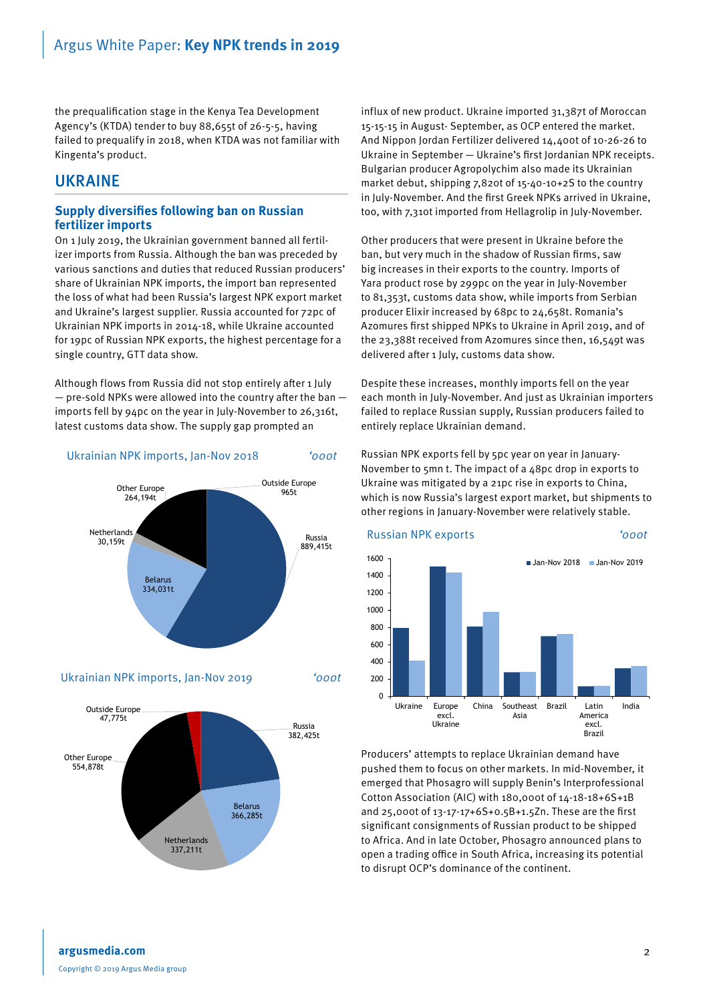the prequalification stage in the Kenya Tea Development Agency's (KTDA) tender to buy 88,655t of 26-5-5, having failed to prequalify in 2018, when KTDA was not familiar with Kingenta's product.

#### UKRAINE

#### **Supply diversifies following ban on Russian fertilizer imports**

On 1 July 2019, the Ukrainian government banned all fertilizer imports from Russia. Although the ban was preceded by various sanctions and duties that reduced Russian producers' share of Ukrainian NPK imports, the import ban represented the loss of what had been Russia's largest NPK export market and Ukraine's largest supplier. Russia accounted for 72pc of Ukrainian NPK imports in 2014-18, while Ukraine accounted for 19pc of Russian NPK exports, the highest percentage for a single country, GTT data show.

Although flows from Russia did not stop entirely after 1 July  $-$  pre-sold NPKs were allowed into the country after the ban  $$ imports fell by 94pc on the year in July-November to 26,316t, latest customs data show. The supply gap prompted an



Ukrainian NPK imports, Jan-Nov 2019 '000t



influx of new product. Ukraine imported 31,387t of Moroccan 15-15-15 in August- September, as OCP entered the market. And Nippon Jordan Fertilizer delivered 14,400t of 10-26-26 to Ukraine in September — Ukraine's first Jordanian NPK receipts. Bulgarian producer Agropolychim also made its Ukrainian market debut, shipping 7,820t of 15-40-10+2S to the country in July-November. And the first Greek NPKs arrived in Ukraine, too, with 7,310t imported from Hellagrolip in July-November.

Other producers that were present in Ukraine before the ban, but very much in the shadow of Russian firms, saw big increases in their exports to the country. Imports of Yara product rose by 299pc on the year in July-November to 81,353t, customs data show, while imports from Serbian producer Elixir increased by 68pc to 24,658t. Romania's Azomures first shipped NPKs to Ukraine in April 2019, and of the 23,388t received from Azomures since then, 16,549t was delivered after 1 July, customs data show.

Despite these increases, monthly imports fell on the year each month in July-November. And just as Ukrainian importers failed to replace Russian supply, Russian producers failed to entirely replace Ukrainian demand.

Russian NPK exports fell by 5pc year on year in January-November to 5mn t. The impact of a 48pc drop in exports to Ukraine was mitigated by a 21pc rise in exports to China, which is now Russia's largest export market, but shipments to other regions in January-November were relatively stable.



Producers' attempts to replace Ukrainian demand have pushed them to focus on other markets. In mid-November, it emerged that Phosagro will supply Benin's Interprofessional Cotton Association (AIC) with 180,000t of 14-18-18+6S+1B and 25,000t of 13-17-17+6S+0.5B+1.5Zn. These are the first significant consignments of Russian product to be shipped to Africa. And in late October, Phosagro announced plans to open a trading office in South Africa, increasing its potential to disrupt OCP's dominance of the continent.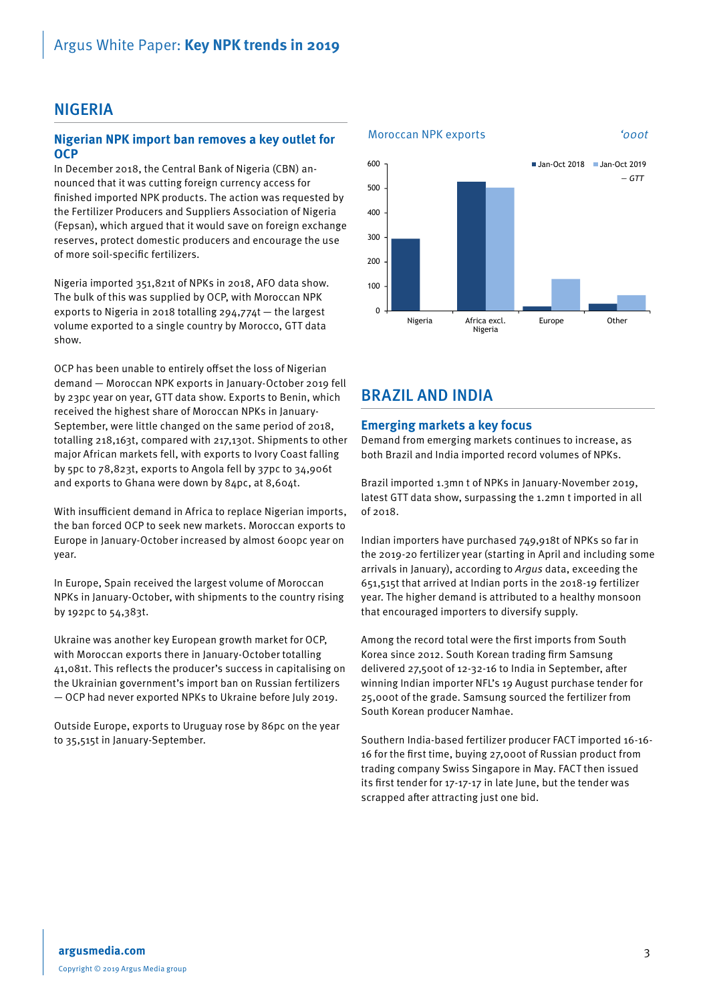## **NIGERIA**

#### **Nigerian NPK import ban removes a key outlet for OCP**

In December 2018, the Central Bank of Nigeria (CBN) announced that it was cutting foreign currency access for finished imported NPK products. The action was requested by the Fertilizer Producers and Suppliers Association of Nigeria (Fepsan), which argued that it would save on foreign exchange reserves, protect domestic producers and encourage the use of more soil-specific fertilizers.

Nigeria imported 351,821t of NPKs in 2018, AFO data show. The bulk of this was supplied by OCP, with Moroccan NPK exports to Nigeria in 2018 totalling 294,774t — the largest volume exported to a single country by Morocco, GTT data show.

OCP has been unable to entirely offset the loss of Nigerian demand — Moroccan NPK exports in January-October 2019 fell by 23pc year on year, GTT data show. Exports to Benin, which received the highest share of Moroccan NPKs in January-September, were little changed on the same period of 2018, totalling 218,163t, compared with 217,130t. Shipments to other major African markets fell, with exports to Ivory Coast falling by 5pc to 78,823t, exports to Angola fell by 37pc to 34,906t and exports to Ghana were down by 84pc, at 8,604t.

With insufficient demand in Africa to replace Nigerian imports, the ban forced OCP to seek new markets. Moroccan exports to Europe in January-October increased by almost 600pc year on year.

In Europe, Spain received the largest volume of Moroccan NPKs in January-October, with shipments to the country rising by 192pc to 54,383t.

Ukraine was another key European growth market for OCP, with Moroccan exports there in January-October totalling 41,081t. This reflects the producer's success in capitalising on the Ukrainian government's import ban on Russian fertilizers — OCP had never exported NPKs to Ukraine before July 2019.

Outside Europe, exports to Uruguay rose by 86pc on the year to 35,515t in January-September.



## BRAZIL AND INDIA

#### **Emerging markets a key focus**

Demand from emerging markets continues to increase, as both Brazil and India imported record volumes of NPKs.

Brazil imported 1.3mn t of NPKs in January-November 2019, latest GTT data show, surpassing the 1.2mn t imported in all of 2018.

Indian importers have purchased 749,918t of NPKs so far in the 2019-20 fertilizer year (starting in April and including some arrivals in January), according to Argus data, exceeding the 651,515t that arrived at Indian ports in the 2018-19 fertilizer year. The higher demand is attributed to a healthy monsoon that encouraged importers to diversify supply.

Among the record total were the first imports from South Korea since 2012. South Korean trading firm Samsung delivered 27,500t of 12-32-16 to India in September, after winning Indian importer NFL's 19 August purchase tender for 25,000t of the grade. Samsung sourced the fertilizer from South Korean producer Namhae.

Southern India-based fertilizer producer FACT imported 16-16- 16 for the first time, buying 27,000t of Russian product from trading company Swiss Singapore in May. FACT then issued its first tender for 17-17-17 in late June, but the tender was scrapped after attracting just one bid.